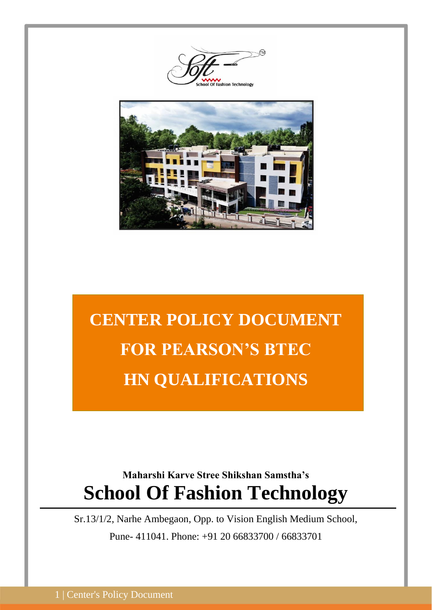ashion Technolooy



# **CENTER POLICY DOCUMENT FOR PEARSON'S BTEC HN QUALIFICATIONS**

# **Maharshi Karve Stree Shikshan Samstha's School Of Fashion Technology**

Sr.13/1/2, Narhe Ambegaon, Opp. to Vision English Medium School, Pune- 411041. Phone: +91 20 66833700 / 66833701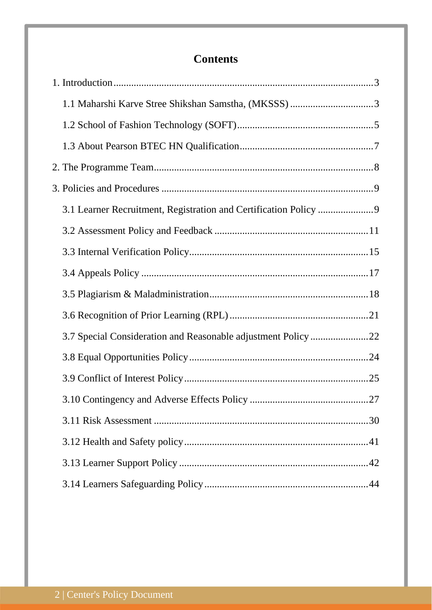# **Contents**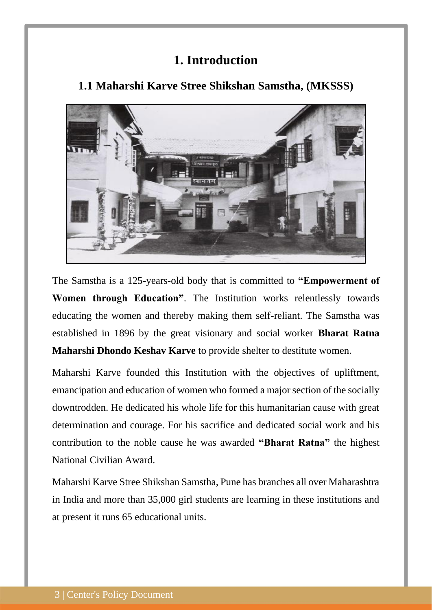# **1. Introduction**

<span id="page-2-1"></span>

## <span id="page-2-0"></span>**1.1 Maharshi Karve Stree Shikshan Samstha, (MKSSS)**

The Samstha is a 125-years-old body that is committed to **"Empowerment of Women through Education"**. The Institution works relentlessly towards educating the women and thereby making them self-reliant. The Samstha was established in 1896 by the great visionary and social worker **Bharat Ratna Maharshi Dhondo Keshav Karve** to provide shelter to destitute women.

Maharshi Karve founded this Institution with the objectives of upliftment, emancipation and education of women who formed a major section of the socially downtrodden. He dedicated his whole life for this humanitarian cause with great determination and courage. For his sacrifice and dedicated social work and his contribution to the noble cause he was awarded **"Bharat Ratna"** the highest National Civilian Award.

Maharshi Karve Stree Shikshan Samstha, Pune has branches all over Maharashtra in India and more than 35,000 girl students are learning in these institutions and at present it runs 65 educational units.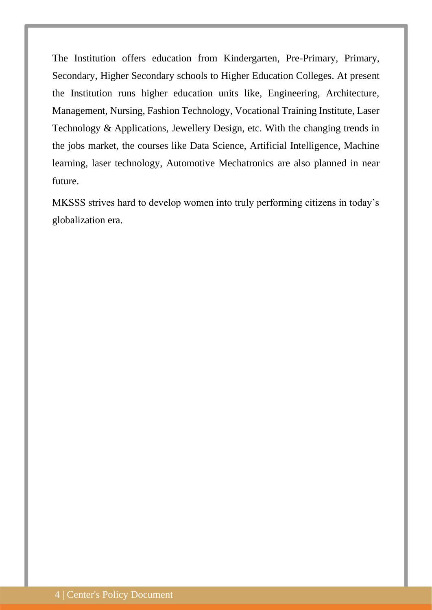The Institution offers education from Kindergarten, Pre-Primary, Primary, Secondary, Higher Secondary schools to Higher Education Colleges. At present the Institution runs higher education units like, Engineering, Architecture, Management, Nursing, Fashion Technology, Vocational Training Institute, Laser Technology & Applications, Jewellery Design, etc. With the changing trends in the jobs market, the courses like Data Science, Artificial Intelligence, Machine learning, laser technology, Automotive Mechatronics are also planned in near future.

MKSSS strives hard to develop women into truly performing citizens in today's globalization era.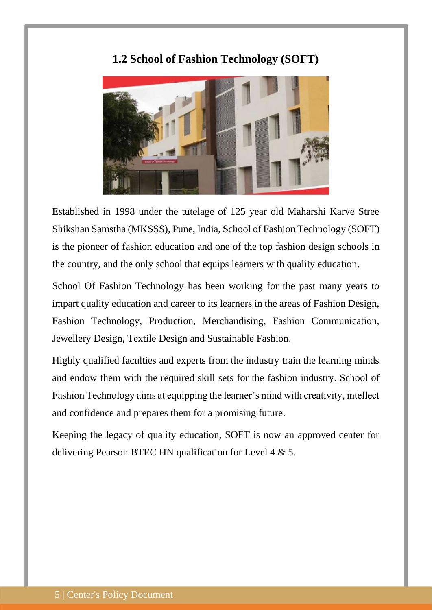## **1.2 School of Fashion Technology (SOFT)**

<span id="page-4-0"></span>

Established in 1998 under the tutelage of 125 year old Maharshi Karve Stree Shikshan Samstha (MKSSS), Pune, India, School of Fashion Technology (SOFT) is the pioneer of fashion education and one of the top fashion design schools in the country, and the only school that equips learners with quality education.

School Of Fashion Technology has been working for the past many years to impart quality education and career to its learners in the areas of Fashion Design, Fashion Technology, Production, Merchandising, Fashion Communication, Jewellery Design, Textile Design and Sustainable Fashion.

Highly qualified faculties and experts from the industry train the learning minds and endow them with the required skill sets for the fashion industry. School of Fashion Technology aims at equipping the learner's mind with creativity, intellect and confidence and prepares them for a promising future.

Keeping the legacy of quality education, SOFT is now an approved center for delivering Pearson BTEC HN qualification for Level 4 & 5.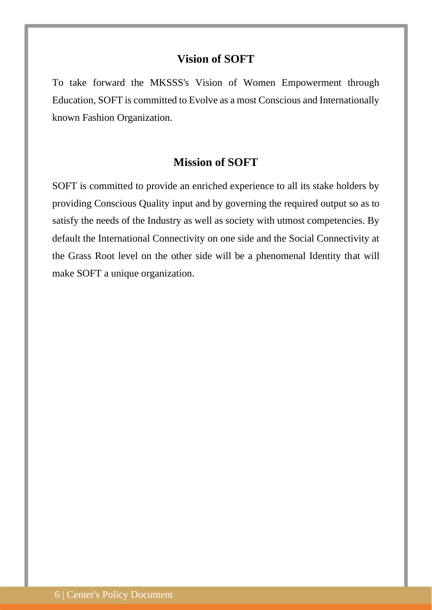## **Vision of SOFT**

To take forward the MKSSS's Vision of Women Empowerment through Education, SOFT is committed to Evolve as a most Conscious and Internationally known Fashion Organization.

## **Mission of SOFT**

SOFT is committed to provide an enriched experience to all its stake holders by providing Conscious Quality input and by governing the required output so as to satisfy the needs of the Industry as well as society with utmost competencies. By default the International Connectivity on one side and the Social Connectivity at the Grass Root level on the other side will be a phenomenal Identity that will make SOFT a unique organization.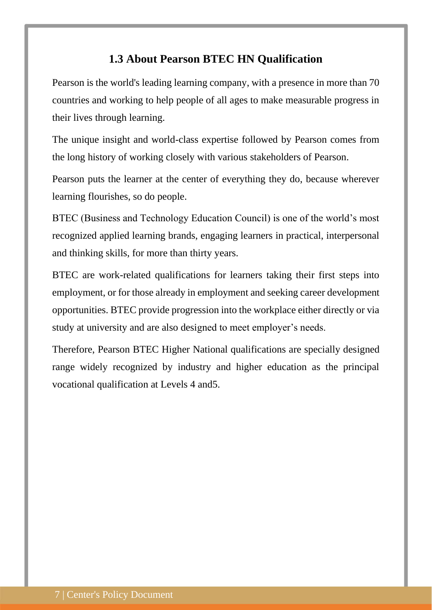## **1.3 About Pearson BTEC HN Qualification**

<span id="page-6-0"></span>Pearson is the world's leading learning company, with a presence in more than 70 countries and working to help people of all ages to make measurable progress in their lives through learning.

The unique insight and world-class expertise followed by Pearson comes from the long history of working closely with various stakeholders of Pearson.

Pearson puts the learner at the center of everything they do, because wherever learning flourishes, so do people.

BTEC (Business and Technology Education Council) is one of the world's most recognized applied learning brands, engaging learners in practical, interpersonal and thinking skills, for more than thirty years.

BTEC are work-related qualifications for learners taking their first steps into employment, or for those already in employment and seeking career development opportunities. BTEC provide progression into the workplace either directly or via study at university and are also designed to meet employer's needs.

Therefore, Pearson BTEC Higher National qualifications are specially designed range widely recognized by industry and higher education as the principal vocational qualification at Levels 4 and5.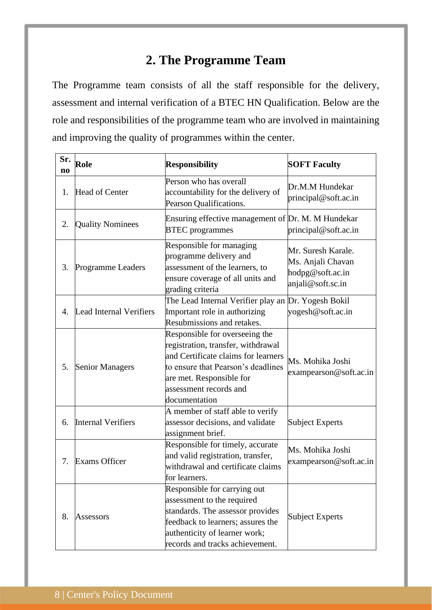# **2. The Programme Team**

<span id="page-7-0"></span>The Programme team consists of all the staff responsible for the delivery, assessment and internal verification of a BTEC HN Qualification. Below are the role and responsibilities of the programme team who are involved in maintaining and improving the quality of programmes within the center.

| Sr.<br>$\mathbf{n}\mathbf{o}$ | Role                                                                                                                                                | <b>Responsibility</b>                                                                                                                                                                                                    | <b>SOFT Faculty</b>                                                              |
|-------------------------------|-----------------------------------------------------------------------------------------------------------------------------------------------------|--------------------------------------------------------------------------------------------------------------------------------------------------------------------------------------------------------------------------|----------------------------------------------------------------------------------|
| 1.                            | Head of Center                                                                                                                                      | Person who has overall<br>accountability for the delivery of<br>Pearson Qualifications.                                                                                                                                  | Dr.M.M Hundekar<br>principal@soft.ac.in                                          |
| 2.                            | <b>Quality Nominees</b>                                                                                                                             | Ensuring effective management of Dr. M. M Hundekar<br><b>BTEC</b> programmes                                                                                                                                             | principal@soft.ac.in                                                             |
| 3.                            | <b>Programme Leaders</b>                                                                                                                            | Responsible for managing<br>programme delivery and<br>assessment of the learners, to<br>ensure coverage of all units and<br>grading criteria                                                                             | Mr. Suresh Karale.<br>Ms. Anjali Chavan<br>hodpg@soft.ac.in<br>anjali@soft.sc.in |
| 4.                            | Lead Internal Verifiers                                                                                                                             | The Lead Internal Verifier play an Dr. Yogesh Bokil<br>Important role in authorizing<br>Resubmissions and retakes.                                                                                                       | yogesh@soft.ac.in                                                                |
| 5.                            | <b>Senior Managers</b>                                                                                                                              | Responsible for overseeing the<br>registration, transfer, withdrawal<br>and Certificate claims for learners<br>to ensure that Pearson's deadlines<br>are met. Responsible for<br>assessment records and<br>documentation | Ms. Mohika Joshi<br>exampearson@soft.ac.in                                       |
| 6.                            | <b>Internal Verifiers</b>                                                                                                                           | A member of staff able to verify<br>assessor decisions, and validate<br>assignment brief.                                                                                                                                | <b>Subject Experts</b>                                                           |
| 7.                            | Responsible for timely, accurate<br>and valid registration, transfer,<br><b>Exams Officer</b><br>withdrawal and certificate claims<br>for learners. |                                                                                                                                                                                                                          | Ms. Mohika Joshi<br>exampearson@soft.ac.in                                       |
| 8.                            | Assessors                                                                                                                                           | Responsible for carrying out<br>assessment to the required<br>standards. The assessor provides<br>feedback to learners; assures the<br>authenticity of learner work;<br>records and tracks achievement.                  | <b>Subject Experts</b>                                                           |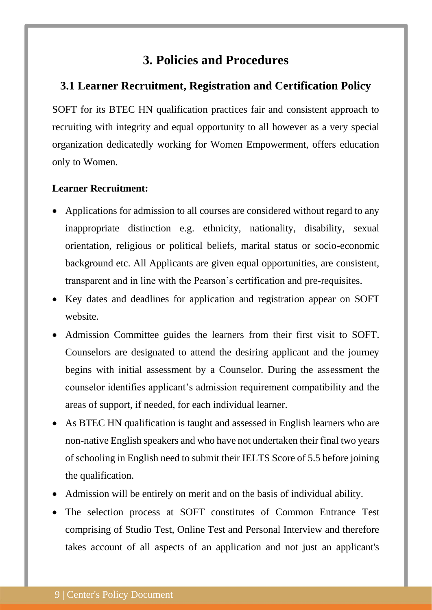## **3. Policies and Procedures**

## <span id="page-8-1"></span><span id="page-8-0"></span>**3.1 Learner Recruitment, Registration and Certification Policy**

SOFT for its BTEC HN qualification practices fair and consistent approach to recruiting with integrity and equal opportunity to all however as a very special organization dedicatedly working for Women Empowerment, offers education only to Women.

## **Learner Recruitment:**

- Applications for admission to all courses are considered without regard to any inappropriate distinction e.g. ethnicity, nationality, disability, sexual orientation, religious or political beliefs, marital status or socio-economic background etc. All Applicants are given equal opportunities, are consistent, transparent and in line with the Pearson's certification and pre-requisites.
- Key dates and deadlines for application and registration appear on SOFT website.
- Admission Committee guides the learners from their first visit to SOFT. Counselors are designated to attend the desiring applicant and the journey begins with initial assessment by a Counselor. During the assessment the counselor identifies applicant's admission requirement compatibility and the areas of support, if needed, for each individual learner.
- As BTEC HN qualification is taught and assessed in English learners who are non-native English speakers and who have not undertaken their final two years of schooling in English need to submit their IELTS Score of 5.5 before joining the qualification.
- Admission will be entirely on merit and on the basis of individual ability.
- The selection process at SOFT constitutes of Common Entrance Test comprising of Studio Test, Online Test and Personal Interview and therefore takes account of all aspects of an application and not just an applicant's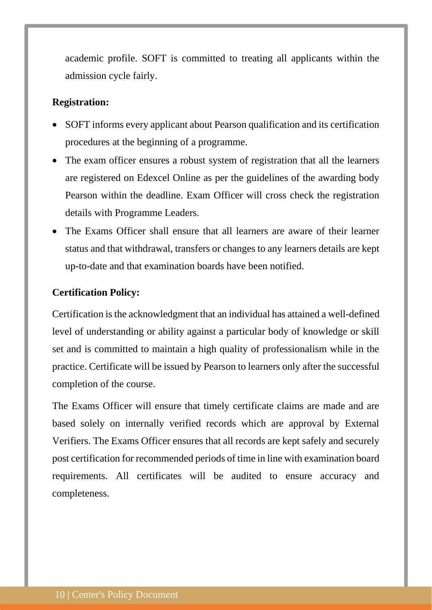academic profile. SOFT is committed to treating all applicants within the admission cycle fairly.

#### **Registration:**

- SOFT informs every applicant about Pearson qualification and its certification procedures at the beginning of a programme.
- The exam officer ensures a robust system of registration that all the learners are registered on Edexcel Online as per the guidelines of the awarding body Pearson within the deadline. Exam Officer will cross check the registration details with Programme Leaders.
- The Exams Officer shall ensure that all learners are aware of their learner status and that withdrawal, transfers or changes to any learners details are kept up-to-date and that examination boards have been notified.

#### **Certification Policy:**

Certification is the acknowledgment that an individual has attained a well-defined level of understanding or ability against a particular body of knowledge or skill set and is committed to maintain a high quality of professionalism while in the practice. Certificate will be issued by Pearson to learners only after the successful completion of the course.

The Exams Officer will ensure that timely certificate claims are made and are based solely on internally verified records which are approval by External Verifiers. The Exams Officer ensures that all records are kept safely and securely post certification for recommended periods of time in line with examination board requirements. All certificates will be audited to ensure accuracy and completeness.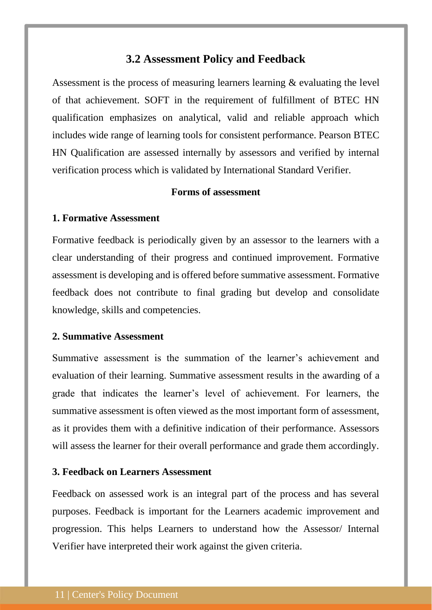## **3.2 Assessment Policy and Feedback**

<span id="page-10-0"></span>Assessment is the process of measuring learners learning & evaluating the level of that achievement. SOFT in the requirement of fulfillment of BTEC HN qualification emphasizes on analytical, valid and reliable approach which includes wide range of learning tools for consistent performance. Pearson BTEC HN Qualification are assessed internally by assessors and verified by internal verification process which is validated by International Standard Verifier.

#### **Forms of assessment**

#### **1. Formative Assessment**

Formative feedback is periodically given by an assessor to the learners with a clear understanding of their progress and continued improvement. Formative assessment is developing and is offered before summative assessment. Formative feedback does not contribute to final grading but develop and consolidate knowledge, skills and competencies.

#### **2. Summative Assessment**

Summative assessment is the summation of the learner's achievement and evaluation of their learning. Summative assessment results in the awarding of a grade that indicates the learner's level of achievement. For learners, the summative assessment is often viewed as the most important form of assessment, as it provides them with a definitive indication of their performance. Assessors will assess the learner for their overall performance and grade them accordingly.

#### **3. Feedback on Learners Assessment**

Feedback on assessed work is an integral part of the process and has several purposes. Feedback is important for the Learners academic improvement and progression. This helps Learners to understand how the Assessor/ Internal Verifier have interpreted their work against the given criteria.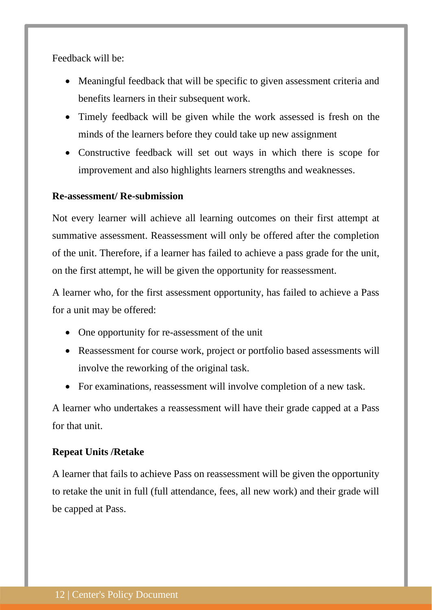Feedback will be:

- Meaningful feedback that will be specific to given assessment criteria and benefits learners in their subsequent work.
- Timely feedback will be given while the work assessed is fresh on the minds of the learners before they could take up new assignment
- Constructive feedback will set out ways in which there is scope for improvement and also highlights learners strengths and weaknesses.

#### **Re-assessment/ Re-submission**

Not every learner will achieve all learning outcomes on their first attempt at summative assessment. Reassessment will only be offered after the completion of the unit. Therefore, if a learner has failed to achieve a pass grade for the unit, on the first attempt, he will be given the opportunity for reassessment.

A learner who, for the first assessment opportunity, has failed to achieve a Pass for a unit may be offered:

- One opportunity for re-assessment of the unit
- Reassessment for course work, project or portfolio based assessments will involve the reworking of the original task.
- For examinations, reassessment will involve completion of a new task.

A learner who undertakes a reassessment will have their grade capped at a Pass for that unit.

#### **Repeat Units /Retake**

A learner that fails to achieve Pass on reassessment will be given the opportunity to retake the unit in full (full attendance, fees, all new work) and their grade will be capped at Pass.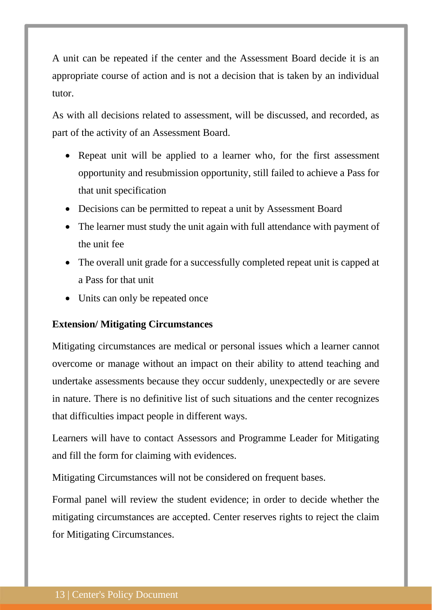A unit can be repeated if the center and the Assessment Board decide it is an appropriate course of action and is not a decision that is taken by an individual tutor.

As with all decisions related to assessment, will be discussed, and recorded, as part of the activity of an Assessment Board.

- Repeat unit will be applied to a learner who, for the first assessment opportunity and resubmission opportunity, still failed to achieve a Pass for that unit specification
- Decisions can be permitted to repeat a unit by Assessment Board
- The learner must study the unit again with full attendance with payment of the unit fee
- The overall unit grade for a successfully completed repeat unit is capped at a Pass for that unit
- Units can only be repeated once

## **Extension/ Mitigating Circumstances**

Mitigating circumstances are medical or personal issues which a learner cannot overcome or manage without an impact on their ability to attend teaching and undertake assessments because they occur suddenly, unexpectedly or are severe in nature. There is no definitive list of such situations and the center recognizes that difficulties impact people in different ways.

Learners will have to contact Assessors and Programme Leader for Mitigating and fill the form for claiming with evidences.

Mitigating Circumstances will not be considered on frequent bases.

Formal panel will review the student evidence; in order to decide whether the mitigating circumstances are accepted. Center reserves rights to reject the claim for Mitigating Circumstances.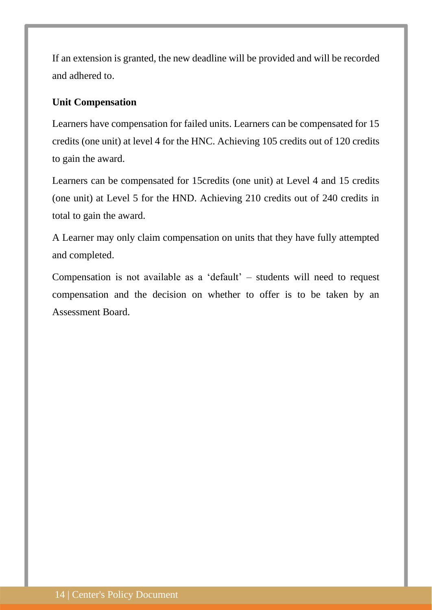If an extension is granted, the new deadline will be provided and will be recorded and adhered to.

## **Unit Compensation**

Learners have compensation for failed units. Learners can be compensated for 15 credits (one unit) at level 4 for the HNC. Achieving 105 credits out of 120 credits to gain the award.

Learners can be compensated for 15credits (one unit) at Level 4 and 15 credits (one unit) at Level 5 for the HND. Achieving 210 credits out of 240 credits in total to gain the award.

A Learner may only claim compensation on units that they have fully attempted and completed.

Compensation is not available as a 'default' – students will need to request compensation and the decision on whether to offer is to be taken by an Assessment Board.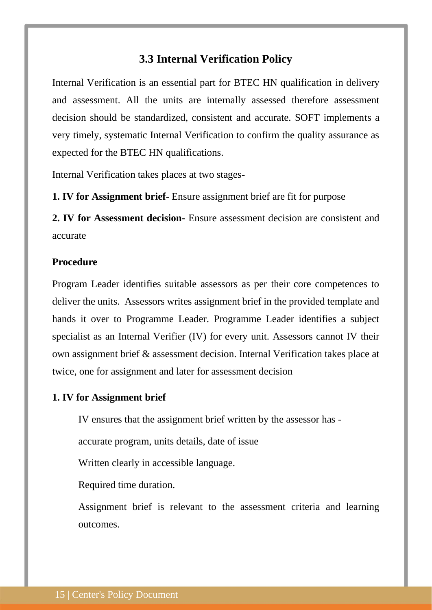## **3.3 Internal Verification Policy**

<span id="page-14-0"></span>Internal Verification is an essential part for BTEC HN qualification in delivery and assessment. All the units are internally assessed therefore assessment decision should be standardized, consistent and accurate. SOFT implements a very timely, systematic Internal Verification to confirm the quality assurance as expected for the BTEC HN qualifications.

Internal Verification takes places at two stages-

**1. IV for Assignment brief-** Ensure assignment brief are fit for purpose

**2. IV for Assessment decision-** Ensure assessment decision are consistent and accurate

## **Procedure**

Program Leader identifies suitable assessors as per their core competences to deliver the units. Assessors writes assignment brief in the provided template and hands it over to Programme Leader. Programme Leader identifies a subject specialist as an Internal Verifier (IV) for every unit. Assessors cannot IV their own assignment brief & assessment decision. Internal Verification takes place at twice, one for assignment and later for assessment decision

#### **1. IV for Assignment brief**

IV ensures that the assignment brief written by the assessor has -

accurate program, units details, date of issue

Written clearly in accessible language.

Required time duration.

Assignment brief is relevant to the assessment criteria and learning outcomes.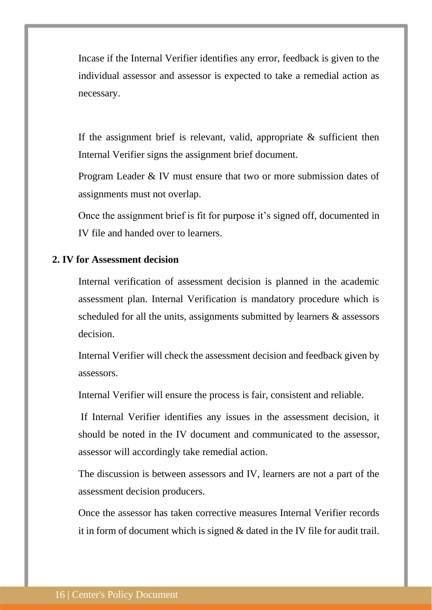Incase if the Internal Verifier identifies any error, feedback is given to the individual assessor and assessor is expected to take a remedial action as necessary.

If the assignment brief is relevant, valid, appropriate  $\&$  sufficient then Internal Verifier signs the assignment brief document.

Program Leader & IV must ensure that two or more submission dates of assignments must not overlap.

Once the assignment brief is fit for purpose it's signed off, documented in IV file and handed over to learners.

## **2. IV for Assessment decision**

Internal verification of assessment decision is planned in the academic assessment plan. Internal Verification is mandatory procedure which is scheduled for all the units, assignments submitted by learners & assessors decision.

Internal Verifier will check the assessment decision and feedback given by assessors.

Internal Verifier will ensure the process is fair, consistent and reliable.

If Internal Verifier identifies any issues in the assessment decision, it should be noted in the IV document and communicated to the assessor, assessor will accordingly take remedial action.

The discussion is between assessors and IV, learners are not a part of the assessment decision producers.

Once the assessor has taken corrective measures Internal Verifier records it in form of document which is signed & dated in the IV file for audit trail.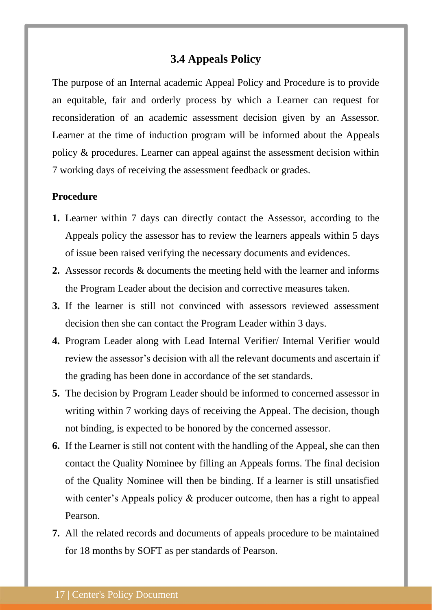## **3.4 Appeals Policy**

<span id="page-16-0"></span>The purpose of an Internal academic Appeal Policy and Procedure is to provide an equitable, fair and orderly process by which a Learner can request for reconsideration of an academic assessment decision given by an Assessor. Learner at the time of induction program will be informed about the Appeals policy & procedures. Learner can appeal against the assessment decision within 7 working days of receiving the assessment feedback or grades.

## **Procedure**

- **1.** Learner within 7 days can directly contact the Assessor, according to the Appeals policy the assessor has to review the learners appeals within 5 days of issue been raised verifying the necessary documents and evidences.
- **2.** Assessor records & documents the meeting held with the learner and informs the Program Leader about the decision and corrective measures taken.
- **3.** If the learner is still not convinced with assessors reviewed assessment decision then she can contact the Program Leader within 3 days.
- **4.** Program Leader along with Lead Internal Verifier/ Internal Verifier would review the assessor's decision with all the relevant documents and ascertain if the grading has been done in accordance of the set standards.
- **5.** The decision by Program Leader should be informed to concerned assessor in writing within 7 working days of receiving the Appeal. The decision, though not binding, is expected to be honored by the concerned assessor.
- **6.** If the Learner is still not content with the handling of the Appeal, she can then contact the Quality Nominee by filling an Appeals forms. The final decision of the Quality Nominee will then be binding. If a learner is still unsatisfied with center's Appeals policy & producer outcome, then has a right to appeal Pearson.
- **7.** All the related records and documents of appeals procedure to be maintained for 18 months by SOFT as per standards of Pearson.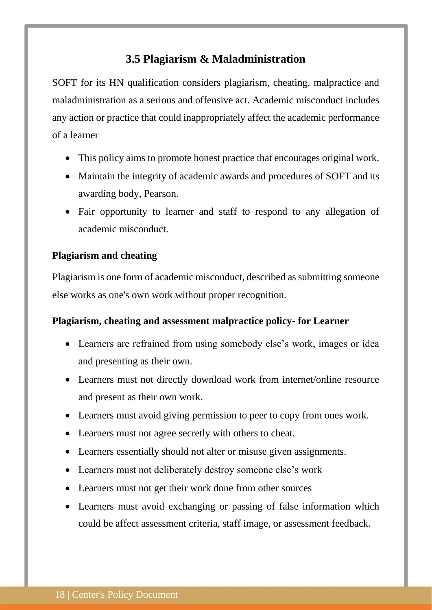## **3.5 Plagiarism & Maladministration**

<span id="page-17-0"></span>SOFT for its HN qualification considers plagiarism, cheating, malpractice and maladministration as a serious and offensive act. Academic misconduct includes any action or practice that could inappropriately affect the academic performance of a learner

- This policy aims to promote honest practice that encourages original work.
- Maintain the integrity of academic awards and procedures of SOFT and its awarding body, Pearson.
- Fair opportunity to learner and staff to respond to any allegation of academic misconduct.

## **Plagiarism and cheating**

Plagiarism is one form of academic misconduct, described as submitting someone else works as one's own work without proper recognition.

## **Plagiarism, cheating and assessment malpractice policy- for Learner**

- Learners are refrained from using somebody else's work, images or idea and presenting as their own.
- Learners must not directly download work from internet/online resource and present as their own work.
- Learners must avoid giving permission to peer to copy from ones work.
- Learners must not agree secretly with others to cheat.
- Learners essentially should not alter or misuse given assignments.
- Learners must not deliberately destroy someone else's work
- Learners must not get their work done from other sources
- Learners must avoid exchanging or passing of false information which could be affect assessment criteria, staff image, or assessment feedback.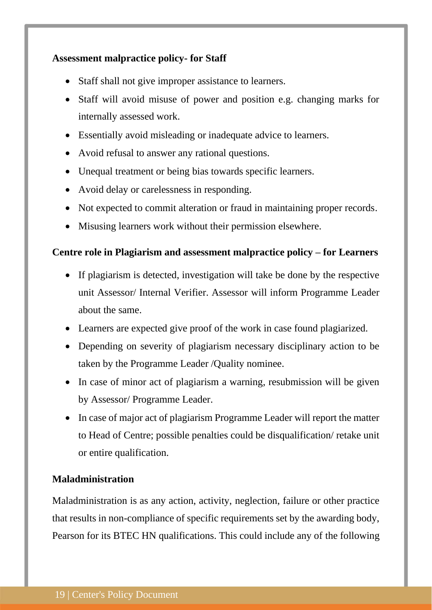## **Assessment malpractice policy- for Staff**

- Staff shall not give improper assistance to learners.
- Staff will avoid misuse of power and position e.g. changing marks for internally assessed work.
- Essentially avoid misleading or inadequate advice to learners.
- Avoid refusal to answer any rational questions.
- Unequal treatment or being bias towards specific learners.
- Avoid delay or carelessness in responding.
- Not expected to commit alteration or fraud in maintaining proper records.
- Misusing learners work without their permission elsewhere.

## **Centre role in Plagiarism and assessment malpractice policy – for Learners**

- If plagiarism is detected, investigation will take be done by the respective unit Assessor/ Internal Verifier. Assessor will inform Programme Leader about the same.
- Learners are expected give proof of the work in case found plagiarized.
- Depending on severity of plagiarism necessary disciplinary action to be taken by the Programme Leader /Quality nominee.
- In case of minor act of plagiarism a warning, resubmission will be given by Assessor/ Programme Leader.
- In case of major act of plagiarism Programme Leader will report the matter to Head of Centre; possible penalties could be disqualification/ retake unit or entire qualification.

## **Maladministration**

Maladministration is as any action, activity, neglection, failure or other practice that results in non-compliance of specific requirements set by the awarding body, Pearson for its BTEC HN qualifications. This could include any of the following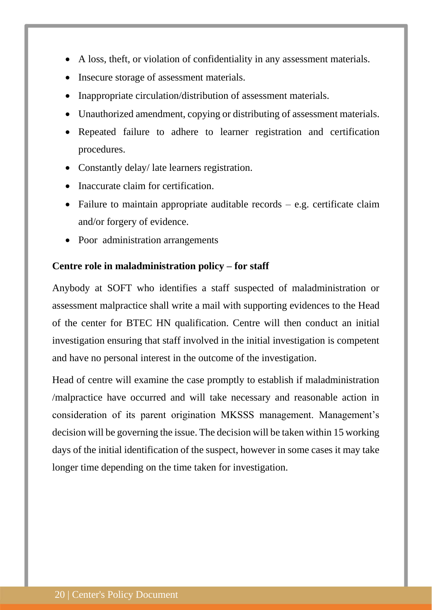- A loss, theft, or violation of confidentiality in any assessment materials.
- Insecure storage of assessment materials.
- Inappropriate circulation/distribution of assessment materials.
- Unauthorized amendment, copying or distributing of assessment materials.
- Repeated failure to adhere to learner registration and certification procedures.
- Constantly delay/ late learners registration.
- Inaccurate claim for certification.
- Failure to maintain appropriate auditable records  $-$  e.g. certificate claim and/or forgery of evidence.
- Poor administration arrangements

#### **Centre role in maladministration policy – for staff**

Anybody at SOFT who identifies a staff suspected of maladministration or assessment malpractice shall write a mail with supporting evidences to the Head of the center for BTEC HN qualification. Centre will then conduct an initial investigation ensuring that staff involved in the initial investigation is competent and have no personal interest in the outcome of the investigation.

Head of centre will examine the case promptly to establish if maladministration /malpractice have occurred and will take necessary and reasonable action in consideration of its parent origination MKSSS management. Management's decision will be governing the issue. The decision will be taken within 15 working days of the initial identification of the suspect, however in some cases it may take longer time depending on the time taken for investigation.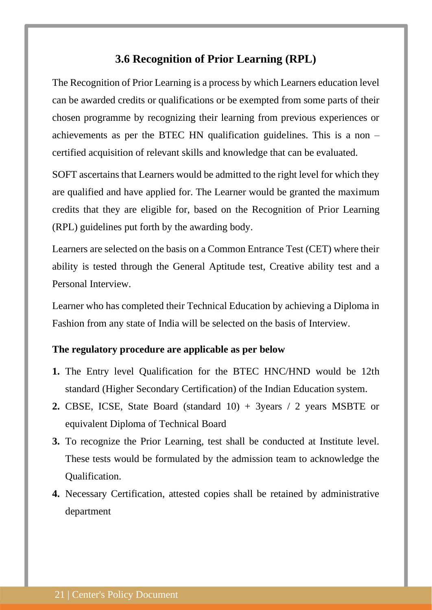## **3.6 Recognition of Prior Learning (RPL)**

<span id="page-20-0"></span>The Recognition of Prior Learning is a process by which Learners education level can be awarded credits or qualifications or be exempted from some parts of their chosen programme by recognizing their learning from previous experiences or achievements as per the BTEC HN qualification guidelines. This is a non – certified acquisition of relevant skills and knowledge that can be evaluated.

SOFT ascertains that Learners would be admitted to the right level for which they are qualified and have applied for. The Learner would be granted the maximum credits that they are eligible for, based on the Recognition of Prior Learning (RPL) guidelines put forth by the awarding body.

Learners are selected on the basis on a Common Entrance Test (CET) where their ability is tested through the General Aptitude test, Creative ability test and a Personal Interview.

Learner who has completed their Technical Education by achieving a Diploma in Fashion from any state of India will be selected on the basis of Interview.

#### **The regulatory procedure are applicable as per below**

- **1.** The Entry level Qualification for the BTEC HNC/HND would be 12th standard (Higher Secondary Certification) of the Indian Education system.
- **2.** CBSE, ICSE, State Board (standard 10) + 3years / 2 years MSBTE or equivalent Diploma of Technical Board
- **3.** To recognize the Prior Learning, test shall be conducted at Institute level. These tests would be formulated by the admission team to acknowledge the Qualification.
- **4.** Necessary Certification, attested copies shall be retained by administrative department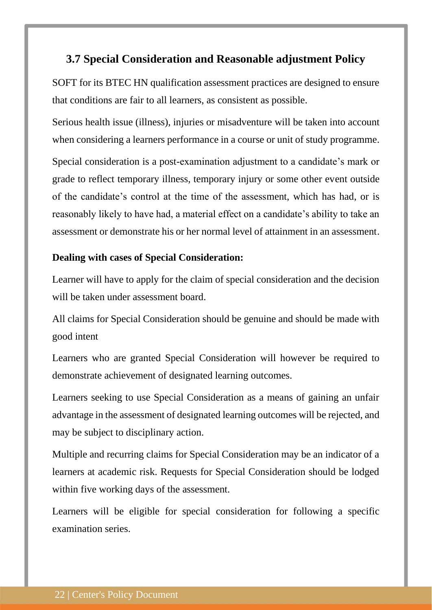## <span id="page-21-0"></span>**3.7 Special Consideration and Reasonable adjustment Policy**

SOFT for its BTEC HN qualification assessment practices are designed to ensure that conditions are fair to all learners, as consistent as possible.

Serious health issue (illness), injuries or misadventure will be taken into account when considering a learners performance in a course or unit of study programme.

Special consideration is a post-examination adjustment to a candidate's mark or grade to reflect temporary illness, temporary injury or some other event outside of the candidate's control at the time of the assessment, which has had, or is reasonably likely to have had, a material effect on a candidate's ability to take an assessment or demonstrate his or her normal level of attainment in an assessment.

## **Dealing with cases of Special Consideration:**

Learner will have to apply for the claim of special consideration and the decision will be taken under assessment board.

All claims for Special Consideration should be genuine and should be made with good intent

Learners who are granted Special Consideration will however be required to demonstrate achievement of designated learning outcomes.

Learners seeking to use Special Consideration as a means of gaining an unfair advantage in the assessment of designated learning outcomes will be rejected, and may be subject to disciplinary action.

Multiple and recurring claims for Special Consideration may be an indicator of a learners at academic risk. Requests for Special Consideration should be lodged within five working days of the assessment.

Learners will be eligible for special consideration for following a specific examination series.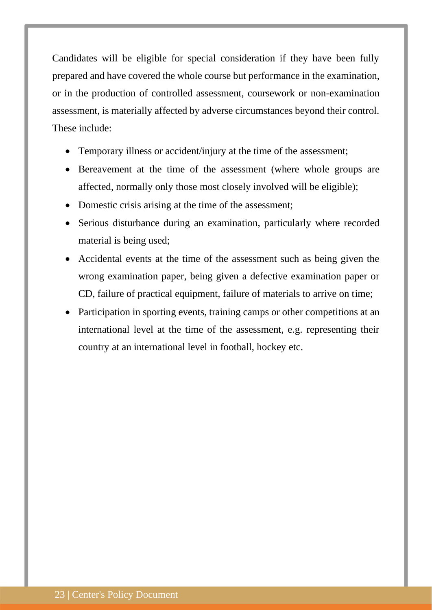Candidates will be eligible for special consideration if they have been fully prepared and have covered the whole course but performance in the examination, or in the production of controlled assessment, coursework or non-examination assessment, is materially affected by adverse circumstances beyond their control. These include:

- Temporary illness or accident/injury at the time of the assessment;
- Bereavement at the time of the assessment (where whole groups are affected, normally only those most closely involved will be eligible);
- Domestic crisis arising at the time of the assessment;
- Serious disturbance during an examination, particularly where recorded material is being used;
- Accidental events at the time of the assessment such as being given the wrong examination paper, being given a defective examination paper or CD, failure of practical equipment, failure of materials to arrive on time;
- Participation in sporting events, training camps or other competitions at an international level at the time of the assessment, e.g. representing their country at an international level in football, hockey etc.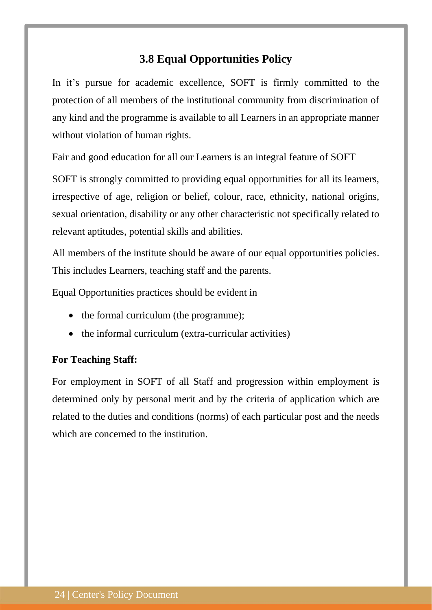## **3.8 Equal Opportunities Policy**

<span id="page-23-0"></span>In it's pursue for academic excellence, SOFT is firmly committed to the protection of all members of the institutional community from discrimination of any kind and the programme is available to all Learners in an appropriate manner without violation of human rights.

Fair and good education for all our Learners is an integral feature of SOFT

SOFT is strongly committed to providing equal opportunities for all its learners, irrespective of age, religion or belief, colour, race, ethnicity, national origins, sexual orientation, disability or any other characteristic not specifically related to relevant aptitudes, potential skills and abilities.

All members of the institute should be aware of our equal opportunities policies. This includes Learners, teaching staff and the parents.

Equal Opportunities practices should be evident in

- the formal curriculum (the programme);
- the informal curriculum (extra-curricular activities)

## **For Teaching Staff:**

For employment in SOFT of all Staff and progression within employment is determined only by personal merit and by the criteria of application which are related to the duties and conditions (norms) of each particular post and the needs which are concerned to the institution.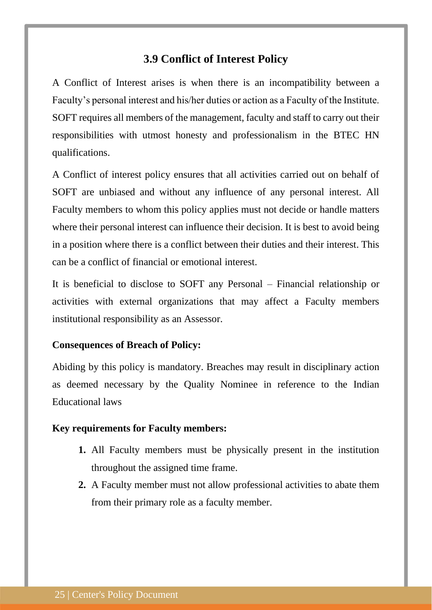## **3.9 Conflict of Interest Policy**

<span id="page-24-0"></span>A Conflict of Interest arises is when there is an incompatibility between a Faculty's personal interest and his/her duties or action as a Faculty of the Institute. SOFT requires all members of the management, faculty and staff to carry out their responsibilities with utmost honesty and professionalism in the BTEC HN qualifications.

A Conflict of interest policy ensures that all activities carried out on behalf of SOFT are unbiased and without any influence of any personal interest. All Faculty members to whom this policy applies must not decide or handle matters where their personal interest can influence their decision. It is best to avoid being in a position where there is a conflict between their duties and their interest. This can be a conflict of financial or emotional interest.

It is beneficial to disclose to SOFT any Personal – Financial relationship or activities with external organizations that may affect a Faculty members institutional responsibility as an Assessor.

#### **Consequences of Breach of Policy:**

Abiding by this policy is mandatory. Breaches may result in disciplinary action as deemed necessary by the Quality Nominee in reference to the Indian Educational laws

#### **Key requirements for Faculty members:**

- **1.** All Faculty members must be physically present in the institution throughout the assigned time frame.
- **2.** A Faculty member must not allow professional activities to abate them from their primary role as a faculty member.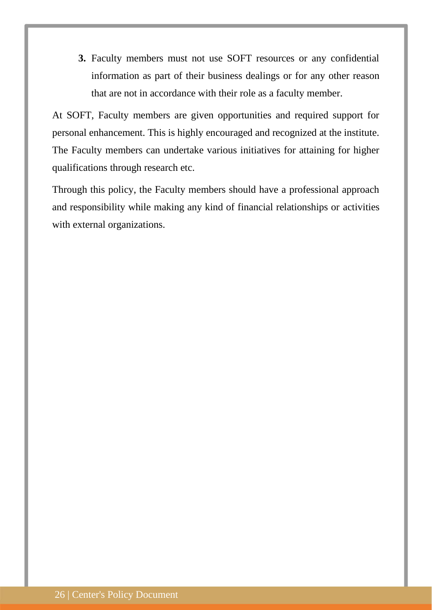**3.** Faculty members must not use SOFT resources or any confidential information as part of their business dealings or for any other reason that are not in accordance with their role as a faculty member.

At SOFT, Faculty members are given opportunities and required support for personal enhancement. This is highly encouraged and recognized at the institute. The Faculty members can undertake various initiatives for attaining for higher qualifications through research etc.

Through this policy, the Faculty members should have a professional approach and responsibility while making any kind of financial relationships or activities with external organizations.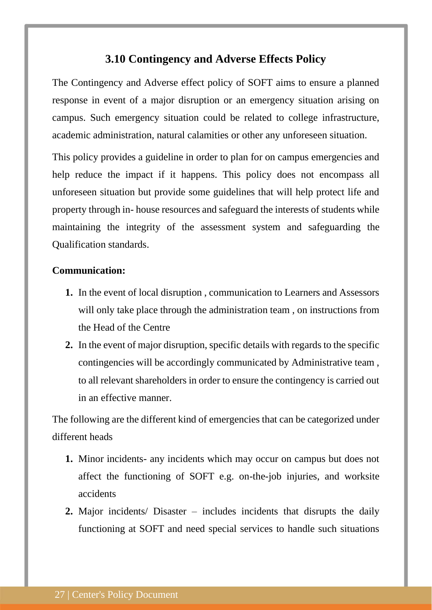## **3.10 Contingency and Adverse Effects Policy**

<span id="page-26-0"></span>The Contingency and Adverse effect policy of SOFT aims to ensure a planned response in event of a major disruption or an emergency situation arising on campus. Such emergency situation could be related to college infrastructure, academic administration, natural calamities or other any unforeseen situation.

This policy provides a guideline in order to plan for on campus emergencies and help reduce the impact if it happens. This policy does not encompass all unforeseen situation but provide some guidelines that will help protect life and property through in- house resources and safeguard the interests of students while maintaining the integrity of the assessment system and safeguarding the Qualification standards.

#### **Communication:**

- **1.** In the event of local disruption , communication to Learners and Assessors will only take place through the administration team, on instructions from the Head of the Centre
- **2.** In the event of major disruption, specific details with regards to the specific contingencies will be accordingly communicated by Administrative team , to all relevant shareholders in order to ensure the contingency is carried out in an effective manner.

The following are the different kind of emergencies that can be categorized under different heads

- **1.** Minor incidents- any incidents which may occur on campus but does not affect the functioning of SOFT e.g. on-the-job injuries, and worksite accidents
- **2.** Major incidents/ Disaster includes incidents that disrupts the daily functioning at SOFT and need special services to handle such situations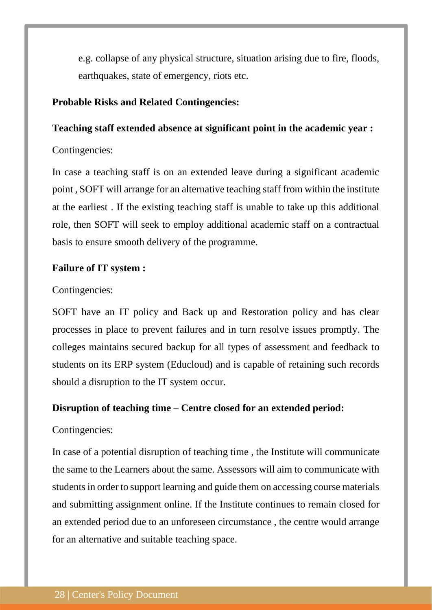e.g. collapse of any physical structure, situation arising due to fire, floods, earthquakes, state of emergency, riots etc.

## **Probable Risks and Related Contingencies:**

#### **Teaching staff extended absence at significant point in the academic year :**

#### Contingencies:

In case a teaching staff is on an extended leave during a significant academic point , SOFT will arrange for an alternative teaching staff from within the institute at the earliest . If the existing teaching staff is unable to take up this additional role, then SOFT will seek to employ additional academic staff on a contractual basis to ensure smooth delivery of the programme.

## **Failure of IT system :**

#### Contingencies:

SOFT have an IT policy and Back up and Restoration policy and has clear processes in place to prevent failures and in turn resolve issues promptly. The colleges maintains secured backup for all types of assessment and feedback to students on its ERP system (Educloud) and is capable of retaining such records should a disruption to the IT system occur.

#### **Disruption of teaching time – Centre closed for an extended period:**

## Contingencies:

In case of a potential disruption of teaching time , the Institute will communicate the same to the Learners about the same. Assessors will aim to communicate with students in order to support learning and guide them on accessing course materials and submitting assignment online. If the Institute continues to remain closed for an extended period due to an unforeseen circumstance , the centre would arrange for an alternative and suitable teaching space.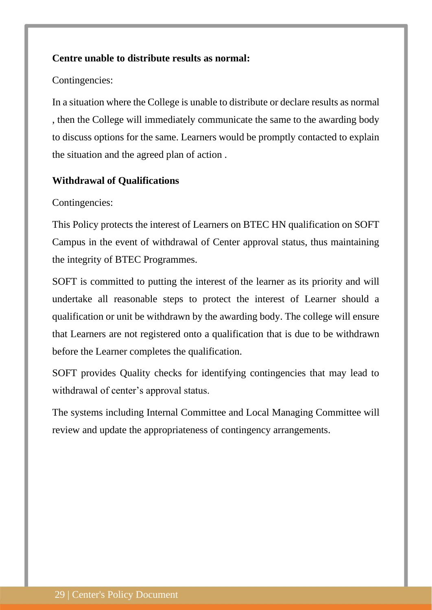## **Centre unable to distribute results as normal:**

#### Contingencies:

In a situation where the College is unable to distribute or declare results as normal , then the College will immediately communicate the same to the awarding body to discuss options for the same. Learners would be promptly contacted to explain the situation and the agreed plan of action .

#### **Withdrawal of Qualifications**

#### Contingencies:

This Policy protects the interest of Learners on BTEC HN qualification on SOFT Campus in the event of withdrawal of Center approval status, thus maintaining the integrity of BTEC Programmes.

SOFT is committed to putting the interest of the learner as its priority and will undertake all reasonable steps to protect the interest of Learner should a qualification or unit be withdrawn by the awarding body. The college will ensure that Learners are not registered onto a qualification that is due to be withdrawn before the Learner completes the qualification.

SOFT provides Quality checks for identifying contingencies that may lead to withdrawal of center's approval status.

The systems including Internal Committee and Local Managing Committee will review and update the appropriateness of contingency arrangements.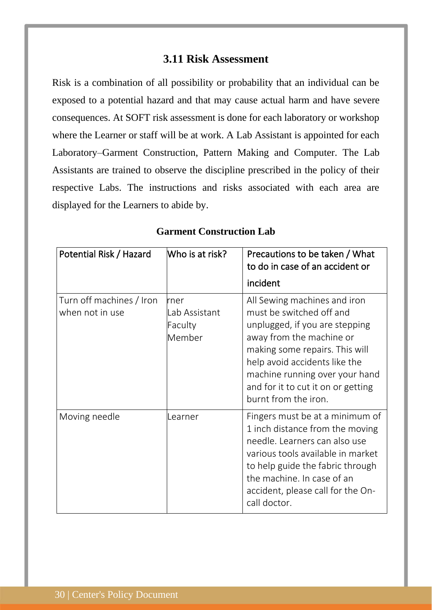## **3.11 Risk Assessment**

<span id="page-29-0"></span>Risk is a combination of all possibility or probability that an individual can be exposed to a potential hazard and that may cause actual harm and have severe consequences. At SOFT risk assessment is done for each laboratory or workshop where the Learner or staff will be at work. A Lab Assistant is appointed for each Laboratory–Garment Construction, Pattern Making and Computer. The Lab Assistants are trained to observe the discipline prescribed in the policy of their respective Labs. The instructions and risks associated with each area are displayed for the Learners to abide by.

| Potential Risk / Hazard                     | Who is at risk?                            | Precautions to be taken / What<br>to do in case of an accident or<br>incident                                                                                                                                                                                                             |
|---------------------------------------------|--------------------------------------------|-------------------------------------------------------------------------------------------------------------------------------------------------------------------------------------------------------------------------------------------------------------------------------------------|
| Turn off machines / Iron<br>when not in use | rner<br>Lab Assistant<br>Faculty<br>Member | All Sewing machines and iron<br>must be switched off and<br>unplugged, if you are stepping<br>away from the machine or<br>making some repairs. This will<br>help avoid accidents like the<br>machine running over your hand<br>and for it to cut it on or getting<br>burnt from the iron. |
| Moving needle                               | Learner                                    | Fingers must be at a minimum of<br>1 inch distance from the moving<br>needle. Learners can also use<br>various tools available in market<br>to help guide the fabric through<br>the machine. In case of an<br>accident, please call for the On-<br>call doctor.                           |

#### **Garment Construction Lab**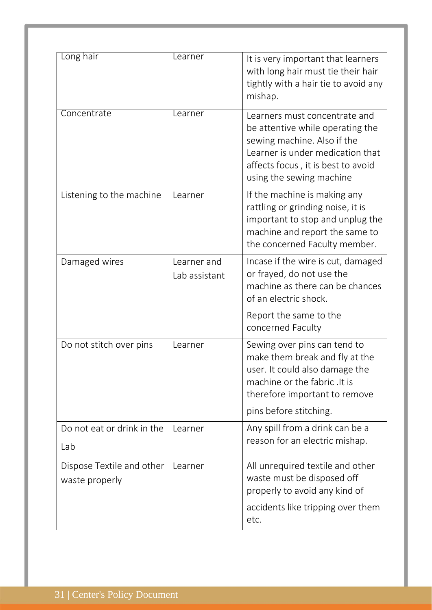| Long hair                  | Learner       | It is very important that learners                                    |
|----------------------------|---------------|-----------------------------------------------------------------------|
|                            |               | with long hair must tie their hair                                    |
|                            |               | tightly with a hair tie to avoid any<br>mishap.                       |
| Concentrate                | Learner       | Learners must concentrate and                                         |
|                            |               | be attentive while operating the<br>sewing machine. Also if the       |
|                            |               | Learner is under medication that                                      |
|                            |               | affects focus, it is best to avoid<br>using the sewing machine        |
| Listening to the machine   | Learner       | If the machine is making any                                          |
|                            |               | rattling or grinding noise, it is<br>important to stop and unplug the |
|                            |               | machine and report the same to                                        |
| Damaged wires              | Learner and   | the concerned Faculty member.<br>Incase if the wire is cut, damaged   |
|                            | Lab assistant | or frayed, do not use the                                             |
|                            |               | machine as there can be chances<br>of an electric shock.              |
|                            |               | Report the same to the                                                |
|                            |               | concerned Faculty                                                     |
| Do not stitch over pins    | Learner       | Sewing over pins can tend to<br>make them break and fly at the        |
|                            |               | user. It could also damage the                                        |
|                            |               | machine or the fabric. It is<br>therefore important to remove         |
|                            |               | pins before stitching.                                                |
| Do not eat or drink in the | Learner       | Any spill from a drink can be a                                       |
| Lab                        |               | reason for an electric mishap.                                        |
| Dispose Textile and other  | Learner       | All unrequired textile and other                                      |
| waste properly             |               | waste must be disposed off<br>properly to avoid any kind of           |
|                            |               | accidents like tripping over them                                     |
|                            |               | etc.                                                                  |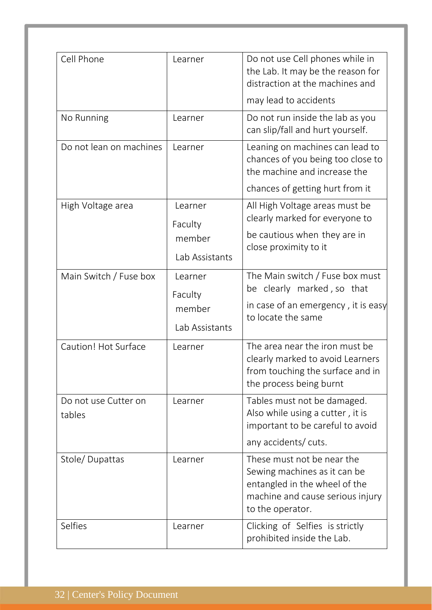| Cell Phone                     | Learner                             | Do not use Cell phones while in<br>the Lab. It may be the reason for<br>distraction at the machines and                                             |
|--------------------------------|-------------------------------------|-----------------------------------------------------------------------------------------------------------------------------------------------------|
|                                |                                     | may lead to accidents                                                                                                                               |
| No Running                     | Learner                             | Do not run inside the lab as you<br>can slip/fall and hurt yourself.                                                                                |
| Do not lean on machines        | Learner                             | Leaning on machines can lead to<br>chances of you being too close to<br>the machine and increase the                                                |
|                                |                                     | chances of getting hurt from it                                                                                                                     |
| High Voltage area              | Learner<br>Faculty                  | All High Voltage areas must be<br>clearly marked for everyone to                                                                                    |
|                                | member<br>Lab Assistants            | be cautious when they are in<br>close proximity to it                                                                                               |
| Main Switch / Fuse box         | Learner                             | The Main switch / Fuse box must<br>be clearly marked, so that                                                                                       |
|                                | Faculty<br>member<br>Lab Assistants | in case of an emergency, it is easy<br>to locate the same                                                                                           |
| Caution! Hot Surface           | Learner                             | The area near the iron must be<br>clearly marked to avoid Learners<br>from touching the surface and in<br>the process being burnt                   |
| Do not use Cutter on<br>tables | Learner                             | Tables must not be damaged.<br>Also while using a cutter, it is<br>important to be careful to avoid                                                 |
|                                |                                     | any accidents/ cuts.                                                                                                                                |
| Stole/Dupattas                 | Learner                             | These must not be near the<br>Sewing machines as it can be<br>entangled in the wheel of the<br>machine and cause serious injury<br>to the operator. |
| Selfies                        | Learner                             | Clicking of Selfies is strictly<br>prohibited inside the Lab.                                                                                       |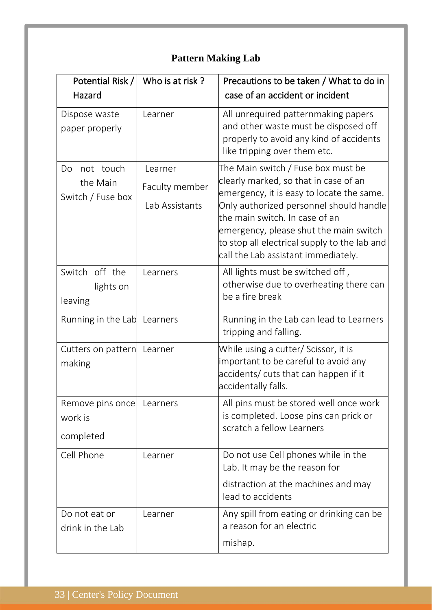# **Pattern Making Lab**

| Potential Risk /                                 | Who is at risk?                             | Precautions to be taken / What to do in                                                                                                                                                                                                                                                                                                |
|--------------------------------------------------|---------------------------------------------|----------------------------------------------------------------------------------------------------------------------------------------------------------------------------------------------------------------------------------------------------------------------------------------------------------------------------------------|
| Hazard                                           |                                             | case of an accident or incident                                                                                                                                                                                                                                                                                                        |
| Dispose waste<br>paper properly                  | Learner                                     | All unrequired patternmaking papers<br>and other waste must be disposed off<br>properly to avoid any kind of accidents<br>like tripping over them etc.                                                                                                                                                                                 |
| not touch<br>Do<br>the Main<br>Switch / Fuse box | Learner<br>Faculty member<br>Lab Assistants | The Main switch / Fuse box must be<br>clearly marked, so that in case of an<br>emergency, it is easy to locate the same.<br>Only authorized personnel should handle<br>the main switch. In case of an<br>emergency, please shut the main switch<br>to stop all electrical supply to the lab and<br>call the Lab assistant immediately. |
| Switch off the<br>lights on<br>leaving           | Learners                                    | All lights must be switched off,<br>otherwise due to overheating there can<br>be a fire break                                                                                                                                                                                                                                          |
| Running in the Lab Learners                      |                                             | Running in the Lab can lead to Learners<br>tripping and falling.                                                                                                                                                                                                                                                                       |
| Cutters on pattern Learner<br>making             |                                             | While using a cutter/ Scissor, it is<br>important to be careful to avoid any<br>accidents/ cuts that can happen if it<br>accidentally falls.                                                                                                                                                                                           |
| Remove pins once<br>work is<br>completed         | Learners                                    | All pins must be stored well once work<br>is completed. Loose pins can prick or<br>scratch a fellow Learners                                                                                                                                                                                                                           |
| Cell Phone                                       | Learner                                     | Do not use Cell phones while in the<br>Lab. It may be the reason for<br>distraction at the machines and may                                                                                                                                                                                                                            |
|                                                  |                                             | lead to accidents                                                                                                                                                                                                                                                                                                                      |
| Do not eat or<br>drink in the Lab                | Learner                                     | Any spill from eating or drinking can be<br>a reason for an electric                                                                                                                                                                                                                                                                   |
|                                                  |                                             | mishap.                                                                                                                                                                                                                                                                                                                                |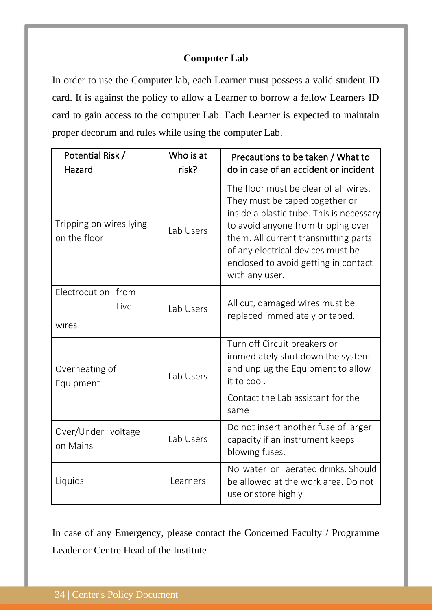## **Computer Lab**

In order to use the Computer lab, each Learner must possess a valid student ID card. It is against the policy to allow a Learner to borrow a fellow Learners ID card to gain access to the computer Lab. Each Learner is expected to maintain proper decorum and rules while using the computer Lab.

| Potential Risk /<br>Hazard              | Who is at<br>risk? | Precautions to be taken / What to<br>do in case of an accident or incident                                                                                                                                                                                                                       |
|-----------------------------------------|--------------------|--------------------------------------------------------------------------------------------------------------------------------------------------------------------------------------------------------------------------------------------------------------------------------------------------|
| Tripping on wires lying<br>on the floor | Lab Users          | The floor must be clear of all wires.<br>They must be taped together or<br>inside a plastic tube. This is necessary<br>to avoid anyone from tripping over<br>them. All current transmitting parts<br>of any electrical devices must be<br>enclosed to avoid getting in contact<br>with any user. |
| Electrocution from<br>Live<br>wires     | Lab Users          | All cut, damaged wires must be<br>replaced immediately or taped.                                                                                                                                                                                                                                 |
| Overheating of<br>Equipment             | Lab Users          | Turn off Circuit breakers or<br>immediately shut down the system<br>and unplug the Equipment to allow<br>it to cool.<br>Contact the Lab assistant for the                                                                                                                                        |
|                                         |                    | same                                                                                                                                                                                                                                                                                             |
| Over/Under voltage<br>on Mains          | Lab Users          | Do not insert another fuse of larger<br>capacity if an instrument keeps<br>blowing fuses.                                                                                                                                                                                                        |
| Liquids                                 | Learners           | No water or aerated drinks, Should<br>be allowed at the work area. Do not<br>use or store highly                                                                                                                                                                                                 |

In case of any Emergency, please contact the Concerned Faculty / Programme Leader or Centre Head of the Institute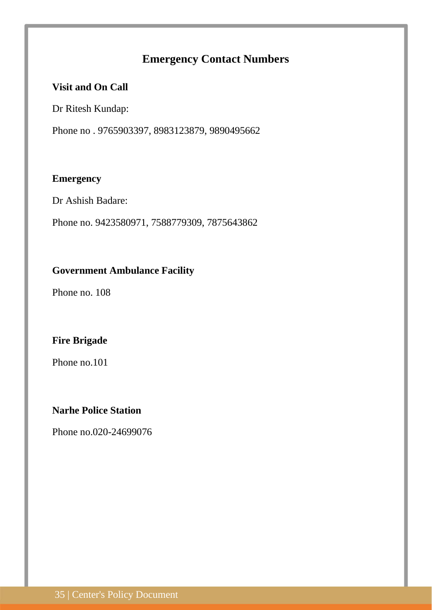## **Emergency Contact Numbers**

## **Visit and On Call**

Dr Ritesh Kundap:

Phone no . 9765903397, 8983123879, 9890495662

## **Emergency**

Dr Ashish Badare:

Phone no. 9423580971, 7588779309, 7875643862

## **Government Ambulance Facility**

Phone no. 108

## **Fire Brigade**

Phone no.101

## **Narhe Police Station**

Phone no.020-24699076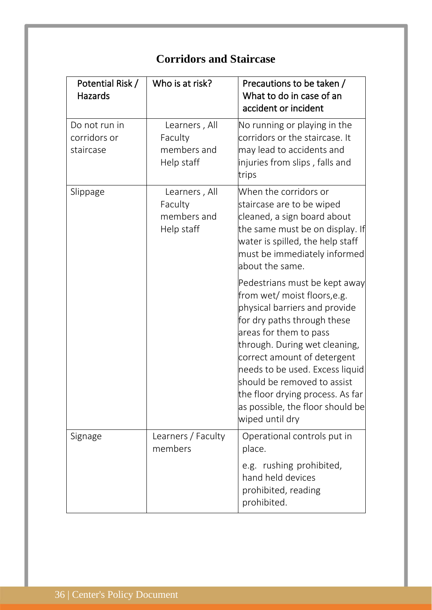| Potential Risk /<br>Hazards                | Who is at risk?                                       | Precautions to be taken /<br>What to do in case of an<br>accident or incident                                                                                                                                                                                                                                                                                                      |
|--------------------------------------------|-------------------------------------------------------|------------------------------------------------------------------------------------------------------------------------------------------------------------------------------------------------------------------------------------------------------------------------------------------------------------------------------------------------------------------------------------|
| Do not run in<br>corridors or<br>staircase | Learners, All<br>Faculty<br>members and<br>Help staff | No running or playing in the<br>corridors or the staircase. It<br>may lead to accidents and<br>injuries from slips, falls and<br>trips                                                                                                                                                                                                                                             |
| Slippage                                   | Learners, All<br>Faculty<br>members and<br>Help staff | When the corridors or<br>staircase are to be wiped<br>cleaned, a sign board about<br>the same must be on display. If<br>water is spilled, the help staff<br>must be immediately informed<br>about the same.                                                                                                                                                                        |
|                                            |                                                       | Pedestrians must be kept away<br>from wet/moist floors,e.g.<br>physical barriers and provide<br>for dry paths through these<br>areas for them to pass<br>through. During wet cleaning,<br>correct amount of detergent<br>needs to be used. Excess liquid<br>should be removed to assist<br>the floor drying process. As far<br>as possible, the floor should be<br>wiped until dry |
| Signage                                    | Learners / Faculty<br>members                         | Operational controls put in<br>place.<br>e.g. rushing prohibited,<br>hand held devices<br>prohibited, reading<br>prohibited.                                                                                                                                                                                                                                                       |

# **Corridors and Staircase**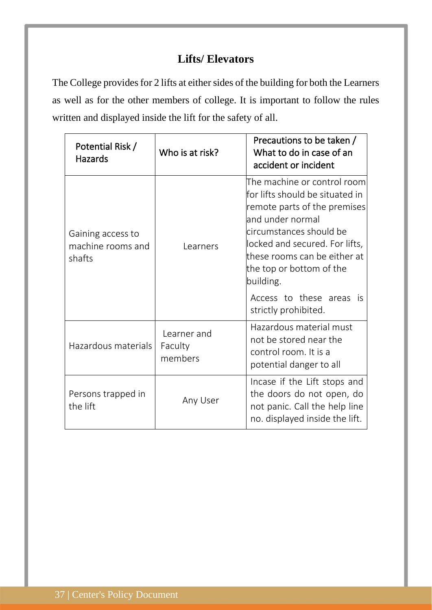## **Lifts/ Elevators**

The College provides for 2 lifts at either sides of the building for both the Learners as well as for the other members of college. It is important to follow the rules written and displayed inside the lift for the safety of all.

| Potential Risk /<br><b>Hazards</b>               | Who is at risk?                   | Precautions to be taken /<br>What to do in case of an<br>accident or incident                                                                                                                                                                                                                                     |
|--------------------------------------------------|-----------------------------------|-------------------------------------------------------------------------------------------------------------------------------------------------------------------------------------------------------------------------------------------------------------------------------------------------------------------|
| Gaining access to<br>machine rooms and<br>shafts | Learners                          | The machine or control room<br>for lifts should be situated in<br>remote parts of the premises<br>and under normal<br>circumstances should be<br>locked and secured. For lifts,<br>these rooms can be either at<br>the top or bottom of the<br>building.<br>Access to these areas<br>- İS<br>strictly prohibited. |
| Hazardous materials                              | Learner and<br>Faculty<br>members | Hazardous material must<br>not be stored near the<br>control room. It is a<br>potential danger to all                                                                                                                                                                                                             |
| Persons trapped in<br>the lift                   | Any User                          | Incase if the Lift stops and<br>the doors do not open, do<br>not panic. Call the help line<br>no. displayed inside the lift.                                                                                                                                                                                      |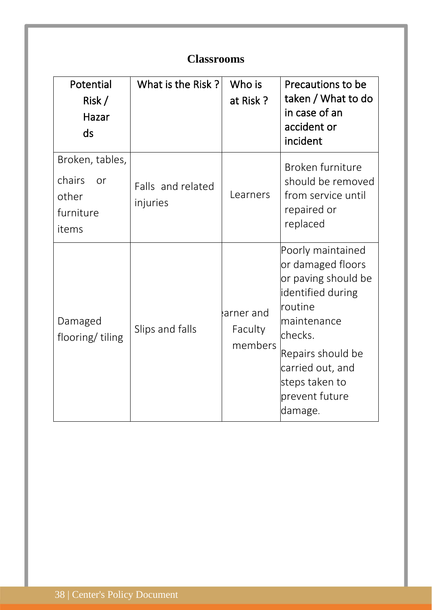|                                                                | <b>Classrooms</b>             |                                  |                                                                                                                                                                                                                        |
|----------------------------------------------------------------|-------------------------------|----------------------------------|------------------------------------------------------------------------------------------------------------------------------------------------------------------------------------------------------------------------|
| Potential<br>Risk /<br>Hazar<br>ds                             | What is the Risk?             | Who is<br>at Risk?               | Precautions to be<br>taken / What to do<br>in case of an<br>accident or<br>incident                                                                                                                                    |
| Broken, tables,<br>chairs<br>or<br>other<br>furniture<br>items | Falls and related<br>injuries | Learners                         | Broken furniture<br>should be removed<br>from service until<br>repaired or<br>replaced                                                                                                                                 |
| Damaged<br>flooring/tiling                                     | Slips and falls               | arner and!<br>Faculty<br>members | Poorly maintained<br>or damaged floors<br>or paving should be<br>identified during<br><b>routine</b><br>maintenance<br>checks.<br>Repairs should be<br>carried out, and<br>steps taken to<br>prevent future<br>damage. |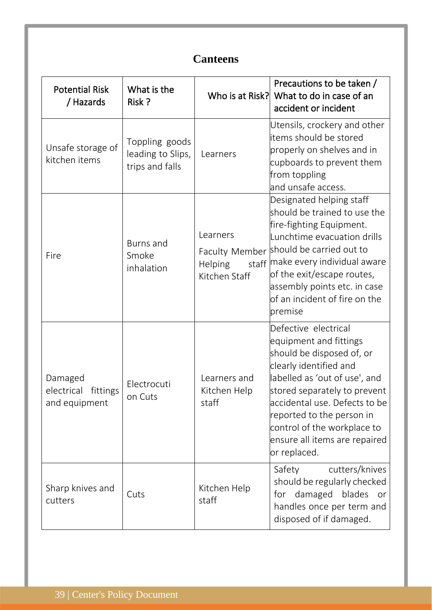| <b>Canteens</b>                                    |                                                        |                                                      |                                                                                                                                                                                                                                                                                                                                    |  |
|----------------------------------------------------|--------------------------------------------------------|------------------------------------------------------|------------------------------------------------------------------------------------------------------------------------------------------------------------------------------------------------------------------------------------------------------------------------------------------------------------------------------------|--|
| <b>Potential Risk</b><br>/ Hazards                 | What is the<br>Risk?                                   |                                                      | Precautions to be taken /<br>Who is at Risk? What to do in case of an<br>accident or incident                                                                                                                                                                                                                                      |  |
| Unsafe storage of<br>kitchen items                 | Toppling goods<br>leading to Slips,<br>trips and falls | Learners                                             | Utensils, crockery and other<br>litems should be stored<br>properly on shelves and in<br>cupboards to prevent them<br>from toppling<br>and unsafe access.                                                                                                                                                                          |  |
| Fire                                               | Burns and<br>Smoke<br>inhalation                       | Learners<br>staff<br><b>Helping</b><br>Kitchen Staff | Designated helping staff<br>should be trained to use the<br>fire-fighting Equipment.<br>Lunchtime evacuation drills<br>Faculty Member should be carried out to<br>make every individual aware<br>of the exit/escape routes,<br>assembly points etc. in case<br>$\operatorname{\mathsf{b}}$ f an incident of fire on the<br>premise |  |
| Damaged<br>electrical<br>fittings<br>and equipment | Electrocuti<br>on Cuts                                 | Learners and<br>Kitchen Help<br>staff                | Defective electrical<br>equipment and fittings<br>should be disposed of, or<br>clearly identified and<br>abelled as 'out of use', and<br>stored separately to prevent<br>accidental use. Defects to be<br>reported to the person in<br>control of the workplace to<br>ensure all items are repaired<br>or replaced.                |  |
| Sharp knives and<br>cutters                        | Cuts                                                   | Kitchen Help<br>staff                                | cutters/knives<br>Safety<br>should be regularly checked<br>for damaged blades<br>or<br>handles once per term and<br>disposed of if damaged.                                                                                                                                                                                        |  |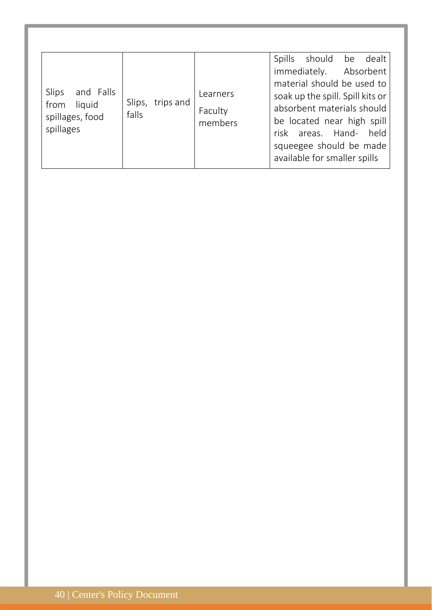| and Falls<br>Slips<br>liquid<br>from<br>spillages, food<br>spillages | Slips,<br>trips and<br>falls | Learners<br>Faculty<br>members | Spills<br>should be dealt<br>immediately. Absorbent<br>material should be used to<br>soak up the spill. Spill kits or<br>absorbent materials should<br>be located near high spill<br>risk areas. Hand- held<br>squeegee should be made<br>available for smaller spills |
|----------------------------------------------------------------------|------------------------------|--------------------------------|------------------------------------------------------------------------------------------------------------------------------------------------------------------------------------------------------------------------------------------------------------------------|
|----------------------------------------------------------------------|------------------------------|--------------------------------|------------------------------------------------------------------------------------------------------------------------------------------------------------------------------------------------------------------------------------------------------------------------|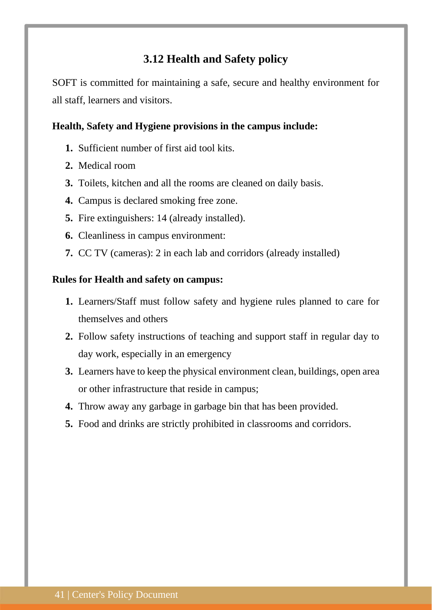## **3.12 Health and Safety policy**

<span id="page-40-0"></span>SOFT is committed for maintaining a safe, secure and healthy environment for all staff, learners and visitors.

## **Health, Safety and Hygiene provisions in the campus include:**

- **1.** Sufficient number of first aid tool kits.
- **2.** Medical room
- **3.** Toilets, kitchen and all the rooms are cleaned on daily basis.
- **4.** Campus is declared smoking free zone.
- **5.** Fire extinguishers: 14 (already installed).
- **6.** Cleanliness in campus environment:
- **7.** CC TV (cameras): 2 in each lab and corridors (already installed)

#### **Rules for Health and safety on campus:**

- **1.** Learners/Staff must follow safety and hygiene rules planned to care for themselves and others
- **2.** Follow safety instructions of teaching and support staff in regular day to day work, especially in an emergency
- **3.** Learners have to keep the physical environment clean, buildings, open area or other infrastructure that reside in campus;
- **4.** Throw away any garbage in garbage bin that has been provided.
- **5.** Food and drinks are strictly prohibited in classrooms and corridors.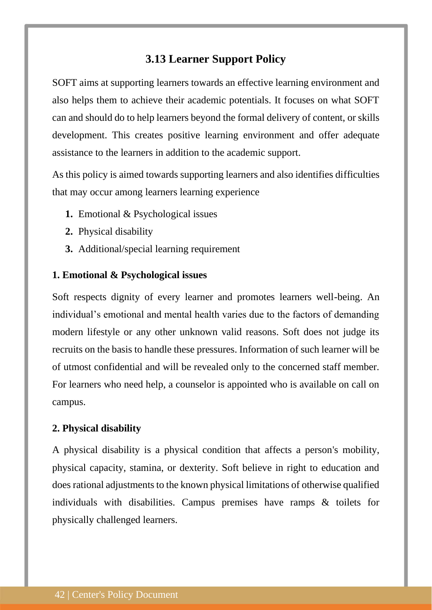## **3.13 Learner Support Policy**

<span id="page-41-0"></span>SOFT aims at supporting learners towards an effective learning environment and also helps them to achieve their academic potentials. It focuses on what SOFT can and should do to help learners beyond the formal delivery of content, or skills development. This creates positive learning environment and offer adequate assistance to the learners in addition to the academic support.

As this policy is aimed towards supporting learners and also identifies difficulties that may occur among learners learning experience

- **1.** Emotional & Psychological issues
- **2.** Physical disability
- **3.** Additional/special learning requirement

#### **1. Emotional & Psychological issues**

Soft respects dignity of every learner and promotes learners well-being. An individual's emotional and mental health varies due to the factors of demanding modern lifestyle or any other unknown valid reasons. Soft does not judge its recruits on the basis to handle these pressures. Information of such learner will be of utmost confidential and will be revealed only to the concerned staff member. For learners who need help, a counselor is appointed who is available on call on campus.

#### **2. Physical disability**

A physical disability is a physical condition that affects a person's mobility, physical capacity, stamina, or dexterity. Soft believe in right to education and does rational adjustments to the known physical limitations of otherwise qualified individuals with disabilities. Campus premises have ramps & toilets for physically challenged learners.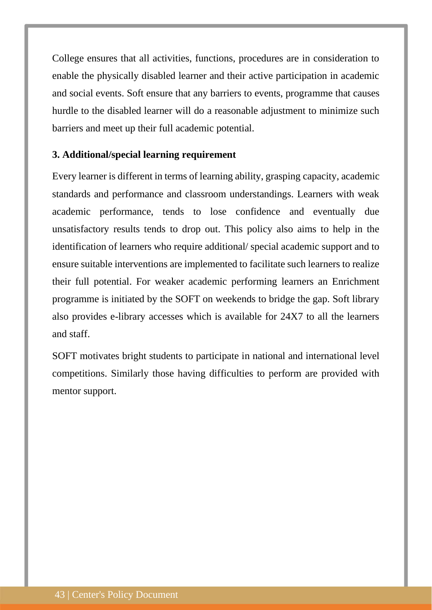College ensures that all activities, functions, procedures are in consideration to enable the physically disabled learner and their active participation in academic and social events. Soft ensure that any barriers to events, programme that causes hurdle to the disabled learner will do a reasonable adjustment to minimize such barriers and meet up their full academic potential.

## **3. Additional/special learning requirement**

Every learner is different in terms of learning ability, grasping capacity, academic standards and performance and classroom understandings. Learners with weak academic performance, tends to lose confidence and eventually due unsatisfactory results tends to drop out. This policy also aims to help in the identification of learners who require additional/ special academic support and to ensure suitable interventions are implemented to facilitate such learners to realize their full potential. For weaker academic performing learners an Enrichment programme is initiated by the SOFT on weekends to bridge the gap. Soft library also provides e-library accesses which is available for 24X7 to all the learners and staff.

SOFT motivates bright students to participate in national and international level competitions. Similarly those having difficulties to perform are provided with mentor support.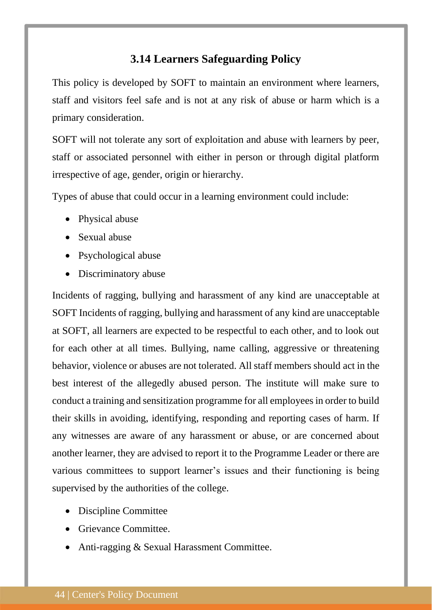## **3.14 Learners Safeguarding Policy**

<span id="page-43-0"></span>This policy is developed by SOFT to maintain an environment where learners, staff and visitors feel safe and is not at any risk of abuse or harm which is a primary consideration.

SOFT will not tolerate any sort of exploitation and abuse with learners by peer, staff or associated personnel with either in person or through digital platform irrespective of age, gender, origin or hierarchy.

Types of abuse that could occur in a learning environment could include:

- Physical abuse
- Sexual abuse
- Psychological abuse
- Discriminatory abuse

Incidents of ragging, bullying and harassment of any kind are unacceptable at SOFT Incidents of ragging, bullying and harassment of any kind are unacceptable at SOFT, all learners are expected to be respectful to each other, and to look out for each other at all times. Bullying, name calling, aggressive or threatening behavior, violence or abuses are not tolerated. All staff members should act in the best interest of the allegedly abused person. The institute will make sure to conduct a training and sensitization programme for all employees in order to build their skills in avoiding, identifying, responding and reporting cases of harm. If any witnesses are aware of any harassment or abuse, or are concerned about another learner, they are advised to report it to the Programme Leader or there are various committees to support learner's issues and their functioning is being supervised by the authorities of the college.

- Discipline Committee
- Grievance Committee.
- Anti-ragging & Sexual Harassment Committee.